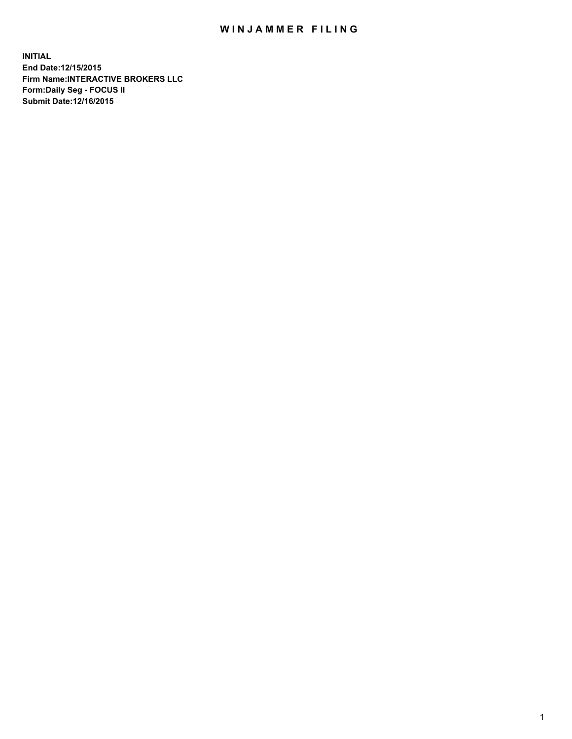## WIN JAMMER FILING

**INITIAL End Date:12/15/2015 Firm Name:INTERACTIVE BROKERS LLC Form:Daily Seg - FOCUS II Submit Date:12/16/2015**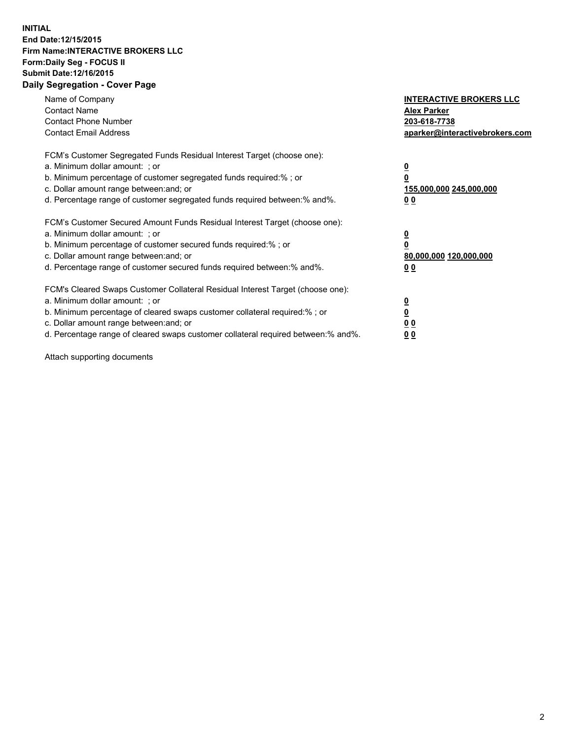## **INITIAL End Date:12/15/2015 Firm Name:INTERACTIVE BROKERS LLC Form:Daily Seg - FOCUS II Submit Date:12/16/2015 Daily Segregation - Cover Page**

| Name of Company<br><b>Contact Name</b><br><b>Contact Phone Number</b><br><b>Contact Email Address</b>                                                                                                                                                                                                                         | <b>INTERACTIVE BROKERS LLC</b><br><b>Alex Parker</b><br>203-618-7738<br>aparker@interactivebrokers.com |
|-------------------------------------------------------------------------------------------------------------------------------------------------------------------------------------------------------------------------------------------------------------------------------------------------------------------------------|--------------------------------------------------------------------------------------------------------|
| FCM's Customer Segregated Funds Residual Interest Target (choose one):<br>a. Minimum dollar amount: ; or<br>b. Minimum percentage of customer segregated funds required:% ; or<br>c. Dollar amount range between: and; or<br>d. Percentage range of customer segregated funds required between:% and%.                        | <u>0</u><br><u>155,000,000 245,000,000</u><br>00                                                       |
| FCM's Customer Secured Amount Funds Residual Interest Target (choose one):<br>a. Minimum dollar amount: ; or<br>b. Minimum percentage of customer secured funds required:% ; or<br>c. Dollar amount range between: and; or<br>d. Percentage range of customer secured funds required between: % and %.                        | $\overline{\mathbf{0}}$<br>80,000,000 120,000,000<br>00                                                |
| FCM's Cleared Swaps Customer Collateral Residual Interest Target (choose one):<br>a. Minimum dollar amount: ; or<br>b. Minimum percentage of cleared swaps customer collateral required:%; or<br>c. Dollar amount range between: and; or<br>d. Percentage range of cleared swaps customer collateral required between:% and%. | <u>0</u><br>0 <sub>0</sub><br><u>00</u>                                                                |

Attach supporting documents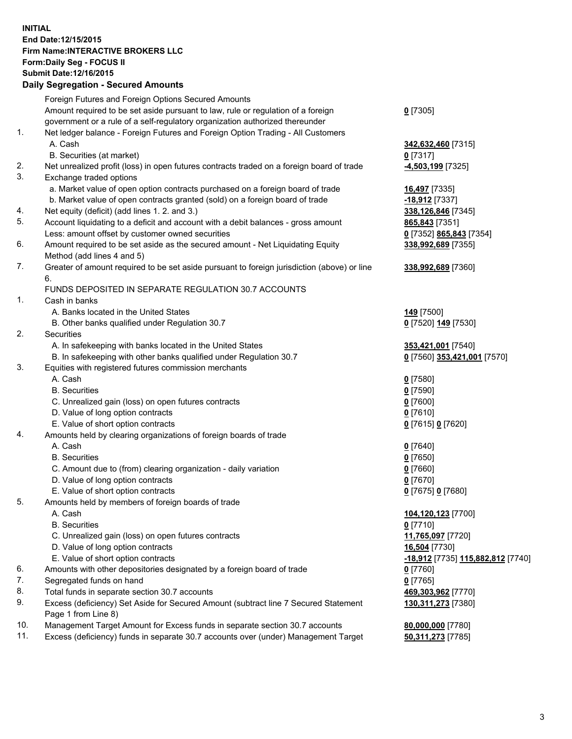## **INITIAL End Date:12/15/2015 Firm Name:INTERACTIVE BROKERS LLC Form:Daily Seg - FOCUS II Submit Date:12/16/2015 Daily Segregation - Secured Amounts**

|     | Foreign Futures and Foreign Options Secured Amounts                                                        |                                   |
|-----|------------------------------------------------------------------------------------------------------------|-----------------------------------|
|     | Amount required to be set aside pursuant to law, rule or regulation of a foreign                           | $0$ [7305]                        |
|     | government or a rule of a self-regulatory organization authorized thereunder                               |                                   |
| 1.  | Net ledger balance - Foreign Futures and Foreign Option Trading - All Customers                            |                                   |
|     | A. Cash                                                                                                    | 342,632,460 [7315]                |
|     | B. Securities (at market)                                                                                  | $0$ [7317]                        |
| 2.  | Net unrealized profit (loss) in open futures contracts traded on a foreign board of trade                  | <mark>-4,503,199</mark> [7325]    |
| 3.  | Exchange traded options                                                                                    |                                   |
|     | a. Market value of open option contracts purchased on a foreign board of trade                             | 16,497 [7335]                     |
|     | b. Market value of open contracts granted (sold) on a foreign board of trade                               | -18,912 [7337]                    |
| 4.  | Net equity (deficit) (add lines 1. 2. and 3.)                                                              | 338,126,846 [7345]                |
| 5.  | Account liquidating to a deficit and account with a debit balances - gross amount                          | 865,843 [7351]                    |
|     | Less: amount offset by customer owned securities                                                           | 0 [7352] 865,843 [7354]           |
| 6.  | Amount required to be set aside as the secured amount - Net Liquidating Equity                             | 338,992,689 [7355]                |
|     | Method (add lines 4 and 5)                                                                                 |                                   |
| 7.  | Greater of amount required to be set aside pursuant to foreign jurisdiction (above) or line                | 338,992,689 [7360]                |
|     | 6.                                                                                                         |                                   |
|     | FUNDS DEPOSITED IN SEPARATE REGULATION 30.7 ACCOUNTS                                                       |                                   |
| 1.  | Cash in banks                                                                                              |                                   |
|     | A. Banks located in the United States                                                                      | 149 [7500]                        |
|     | B. Other banks qualified under Regulation 30.7                                                             | 0 [7520] 149 [7530]               |
| 2.  | Securities                                                                                                 |                                   |
|     | A. In safekeeping with banks located in the United States                                                  | 353,421,001 [7540]                |
|     | B. In safekeeping with other banks qualified under Regulation 30.7                                         | 0 [7560] 353,421,001 [7570]       |
| 3.  | Equities with registered futures commission merchants                                                      |                                   |
|     | A. Cash                                                                                                    | $0$ [7580]                        |
|     | <b>B.</b> Securities                                                                                       | $0$ [7590]                        |
|     | C. Unrealized gain (loss) on open futures contracts                                                        | $0$ [7600]                        |
|     | D. Value of long option contracts                                                                          | $0$ [7610]                        |
|     | E. Value of short option contracts                                                                         | 0 [7615] 0 [7620]                 |
| 4.  | Amounts held by clearing organizations of foreign boards of trade                                          |                                   |
|     | A. Cash                                                                                                    | $0$ [7640]                        |
|     | <b>B.</b> Securities                                                                                       | $0$ [7650]                        |
|     | C. Amount due to (from) clearing organization - daily variation                                            | $0$ [7660]                        |
|     | D. Value of long option contracts                                                                          | $0$ [7670]                        |
|     | E. Value of short option contracts                                                                         | 0 [7675] 0 [7680]                 |
| 5.  | Amounts held by members of foreign boards of trade                                                         |                                   |
|     | A. Cash                                                                                                    | 104,120,123 [7700]                |
|     | <b>B.</b> Securities                                                                                       | $0$ [7710]                        |
|     | C. Unrealized gain (loss) on open futures contracts                                                        | 11,765,097 [7720]                 |
|     | D. Value of long option contracts                                                                          | 16,504 [7730]                     |
|     | E. Value of short option contracts                                                                         | -18,912 [7735] 115,882,812 [7740] |
| 6.  | Amounts with other depositories designated by a foreign board of trade                                     | $0$ [7760]                        |
| 7.  | Segregated funds on hand                                                                                   | $0$ [7765]                        |
| 8.  | Total funds in separate section 30.7 accounts                                                              | 469,303,962 [7770]                |
| 9.  | Excess (deficiency) Set Aside for Secured Amount (subtract line 7 Secured Statement<br>Page 1 from Line 8) | 130,311,273 [7380]                |
| 10. | Management Target Amount for Excess funds in separate section 30.7 accounts                                | 80,000,000 [7780]                 |
| 11. | Excess (deficiency) funds in separate 30.7 accounts over (under) Management Target                         | 50,311,273 [7785]                 |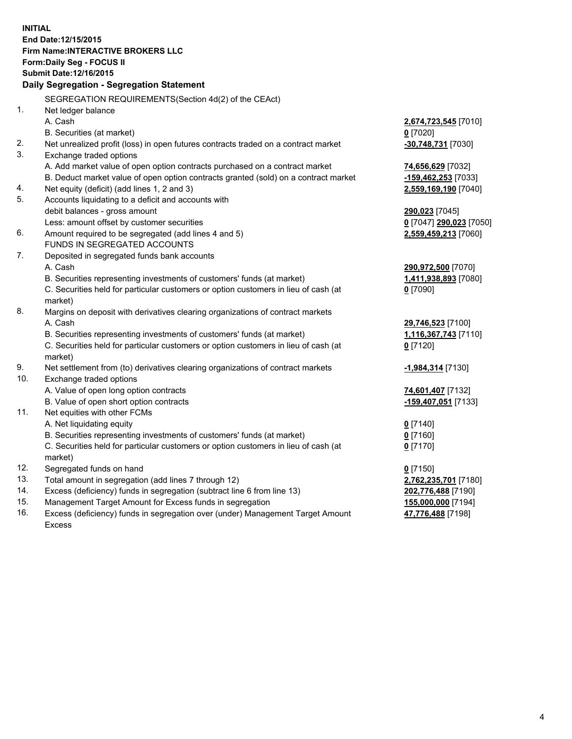**INITIAL End Date:12/15/2015 Firm Name:INTERACTIVE BROKERS LLC Form:Daily Seg - FOCUS II Submit Date:12/16/2015 Daily Segregation - Segregation Statement** SEGREGATION REQUIREMENTS(Section 4d(2) of the CEAct) 1. Net ledger balance A. Cash **2,674,723,545** [7010] B. Securities (at market) **0** [7020] 2. Net unrealized profit (loss) in open futures contracts traded on a contract market **-30,748,731** [7030] 3. Exchange traded options A. Add market value of open option contracts purchased on a contract market **74,656,629** [7032] B. Deduct market value of open option contracts granted (sold) on a contract market **-159,462,253** [7033] 4. Net equity (deficit) (add lines 1, 2 and 3) **2,559,169,190** [7040] 5. Accounts liquidating to a deficit and accounts with debit balances - gross amount **290,023** [7045] Less: amount offset by customer securities **0** [7047] **290,023** [7050] 6. Amount required to be segregated (add lines 4 and 5) **2,559,459,213** [7060] FUNDS IN SEGREGATED ACCOUNTS 7. Deposited in segregated funds bank accounts A. Cash **290,972,500** [7070] B. Securities representing investments of customers' funds (at market) **1,411,938,893** [7080] C. Securities held for particular customers or option customers in lieu of cash (at market) **0** [7090] 8. Margins on deposit with derivatives clearing organizations of contract markets A. Cash **29,746,523** [7100] B. Securities representing investments of customers' funds (at market) **1,116,367,743** [7110] C. Securities held for particular customers or option customers in lieu of cash (at market) **0** [7120] 9. Net settlement from (to) derivatives clearing organizations of contract markets **-1,984,314** [7130] 10. Exchange traded options A. Value of open long option contracts **74,601,407** [7132] B. Value of open short option contracts **-159,407,051** [7133] 11. Net equities with other FCMs A. Net liquidating equity **0** [7140] B. Securities representing investments of customers' funds (at market) **0** [7160] C. Securities held for particular customers or option customers in lieu of cash (at market) **0** [7170] 12. Segregated funds on hand **0** [7150] 13. Total amount in segregation (add lines 7 through 12) **2,762,235,701** [7180] 14. Excess (deficiency) funds in segregation (subtract line 6 from line 13) **202,776,488** [7190] 15. Management Target Amount for Excess funds in segregation **155,000,000** [7194]

16. Excess (deficiency) funds in segregation over (under) Management Target Amount Excess

**47,776,488** [7198]